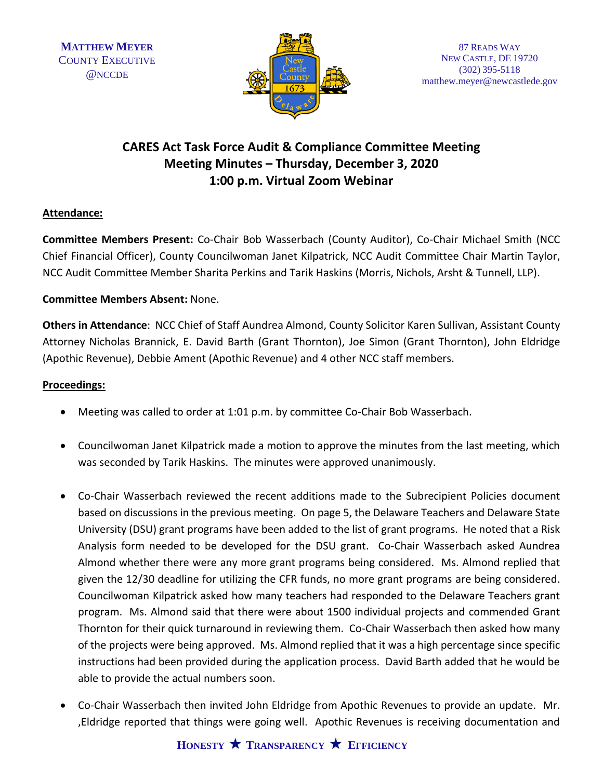

## **CARES Act Task Force Audit & Compliance Committee Meeting Meeting Minutes – Thursday, December 3, 2020 1:00 p.m. Virtual Zoom Webinar**

## **Attendance:**

**Committee Members Present:** Co-Chair Bob Wasserbach (County Auditor), Co-Chair Michael Smith (NCC Chief Financial Officer), County Councilwoman Janet Kilpatrick, NCC Audit Committee Chair Martin Taylor, NCC Audit Committee Member Sharita Perkins and Tarik Haskins (Morris, Nichols, Arsht & Tunnell, LLP).

## **Committee Members Absent:** None.

**Others in Attendance**: NCC Chief of Staff Aundrea Almond, County Solicitor Karen Sullivan, Assistant County Attorney Nicholas Brannick, E. David Barth (Grant Thornton), Joe Simon (Grant Thornton), John Eldridge (Apothic Revenue), Debbie Ament (Apothic Revenue) and 4 other NCC staff members.

## **Proceedings:**

- Meeting was called to order at 1:01 p.m. by committee Co-Chair Bob Wasserbach.
- Councilwoman Janet Kilpatrick made a motion to approve the minutes from the last meeting, which was seconded by Tarik Haskins. The minutes were approved unanimously.
- Co-Chair Wasserbach reviewed the recent additions made to the Subrecipient Policies document based on discussions in the previous meeting. On page 5, the Delaware Teachers and Delaware State University (DSU) grant programs have been added to the list of grant programs. He noted that a Risk Analysis form needed to be developed for the DSU grant. Co-Chair Wasserbach asked Aundrea Almond whether there were any more grant programs being considered. Ms. Almond replied that given the 12/30 deadline for utilizing the CFR funds, no more grant programs are being considered. Councilwoman Kilpatrick asked how many teachers had responded to the Delaware Teachers grant program. Ms. Almond said that there were about 1500 individual projects and commended Grant Thornton for their quick turnaround in reviewing them. Co-Chair Wasserbach then asked how many of the projects were being approved. Ms. Almond replied that it was a high percentage since specific instructions had been provided during the application process. David Barth added that he would be able to provide the actual numbers soon.
- Co-Chair Wasserbach then invited John Eldridge from Apothic Revenues to provide an update. Mr. ,Eldridge reported that things were going well. Apothic Revenues is receiving documentation and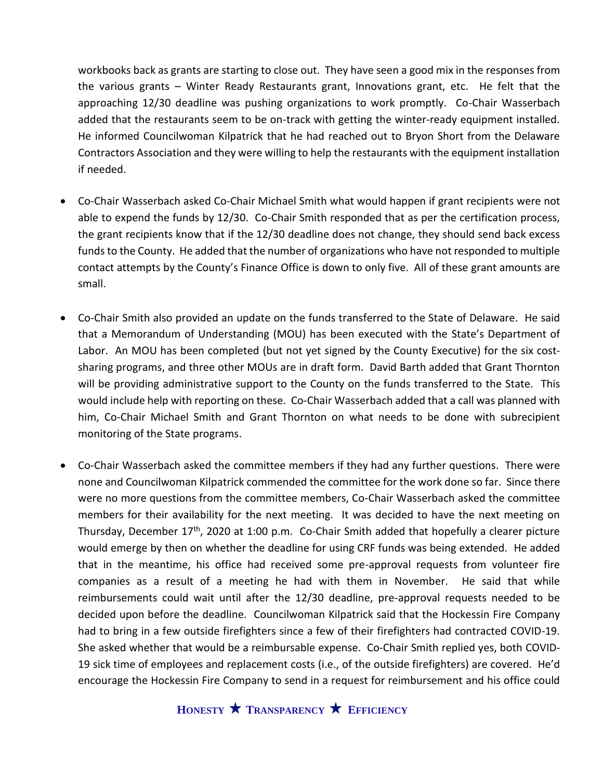workbooks back as grants are starting to close out. They have seen a good mix in the responses from the various grants – Winter Ready Restaurants grant, Innovations grant, etc. He felt that the approaching 12/30 deadline was pushing organizations to work promptly. Co-Chair Wasserbach added that the restaurants seem to be on-track with getting the winter-ready equipment installed. He informed Councilwoman Kilpatrick that he had reached out to Bryon Short from the Delaware Contractors Association and they were willing to help the restaurants with the equipment installation if needed.

- Co-Chair Wasserbach asked Co-Chair Michael Smith what would happen if grant recipients were not able to expend the funds by 12/30. Co-Chair Smith responded that as per the certification process, the grant recipients know that if the 12/30 deadline does not change, they should send back excess funds to the County. He added that the number of organizations who have not responded to multiple contact attempts by the County's Finance Office is down to only five. All of these grant amounts are small.
- Co-Chair Smith also provided an update on the funds transferred to the State of Delaware. He said that a Memorandum of Understanding (MOU) has been executed with the State's Department of Labor. An MOU has been completed (but not yet signed by the County Executive) for the six costsharing programs, and three other MOUs are in draft form. David Barth added that Grant Thornton will be providing administrative support to the County on the funds transferred to the State. This would include help with reporting on these. Co-Chair Wasserbach added that a call was planned with him, Co-Chair Michael Smith and Grant Thornton on what needs to be done with subrecipient monitoring of the State programs.
- Co-Chair Wasserbach asked the committee members if they had any further questions. There were none and Councilwoman Kilpatrick commended the committee for the work done so far. Since there were no more questions from the committee members, Co-Chair Wasserbach asked the committee members for their availability for the next meeting. It was decided to have the next meeting on Thursday, December  $17<sup>th</sup>$ , 2020 at 1:00 p.m. Co-Chair Smith added that hopefully a clearer picture would emerge by then on whether the deadline for using CRF funds was being extended. He added that in the meantime, his office had received some pre-approval requests from volunteer fire companies as a result of a meeting he had with them in November. He said that while reimbursements could wait until after the 12/30 deadline, pre-approval requests needed to be decided upon before the deadline. Councilwoman Kilpatrick said that the Hockessin Fire Company had to bring in a few outside firefighters since a few of their firefighters had contracted COVID-19. She asked whether that would be a reimbursable expense. Co-Chair Smith replied yes, both COVID-19 sick time of employees and replacement costs (i.e., of the outside firefighters) are covered. He'd encourage the Hockessin Fire Company to send in a request for reimbursement and his office could

**HONESTY TRANSPARENCY EFFICIENCY**